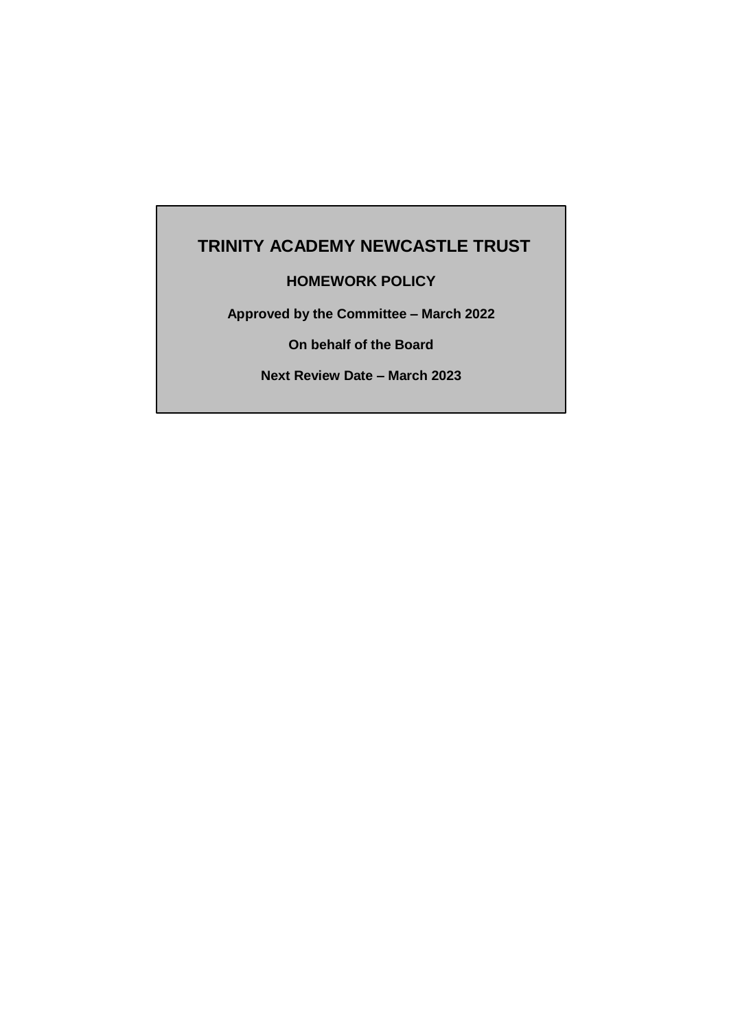# **TRINITY ACADEMY NEWCASTLE TRUST**

# **HOMEWORK POLICY**

**Approved by the Committee – March 2022**

**On behalf of the Board**

**Next Review Date – March 2023**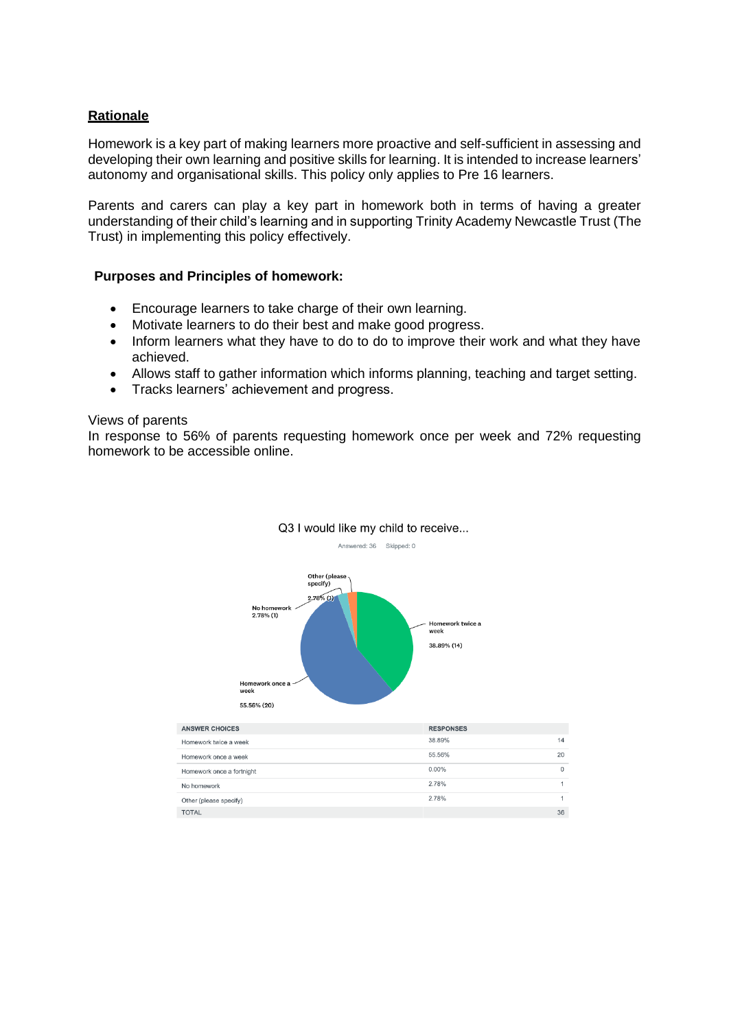# **Rationale**

Homework is a key part of making learners more proactive and self-sufficient in assessing and developing their own learning and positive skills for learning. It is intended to increase learners' autonomy and organisational skills. This policy only applies to Pre 16 learners.

Parents and carers can play a key part in homework both in terms of having a greater understanding of their child's learning and in supporting Trinity Academy Newcastle Trust (The Trust) in implementing this policy effectively.

#### **Purposes and Principles of homework:**

- Encourage learners to take charge of their own learning.
- Motivate learners to do their best and make good progress.
- Inform learners what they have to do to do to improve their work and what they have achieved.
- Allows staff to gather information which informs planning, teaching and target setting.
- Tracks learners' achievement and progress.

#### Views of parents

In response to 56% of parents requesting homework once per week and 72% requesting homework to be accessible online.



#### Q3 I would like my child to receive... Answered: 36 Skipped: 0

| <b>ANSWER CHOICES</b>     | <b>RESPONSES</b> |              |
|---------------------------|------------------|--------------|
| Homework twice a week     | 38.89%           | 14           |
| Homework once a week      | 55.56%           | 20           |
| Homework once a fortnight | $0.00\%$         | $\mathbf{0}$ |
| No homework               | 2.78%            |              |
| Other (please specify)    | 2.78%            |              |
| <b>TOTAL</b>              |                  | 36           |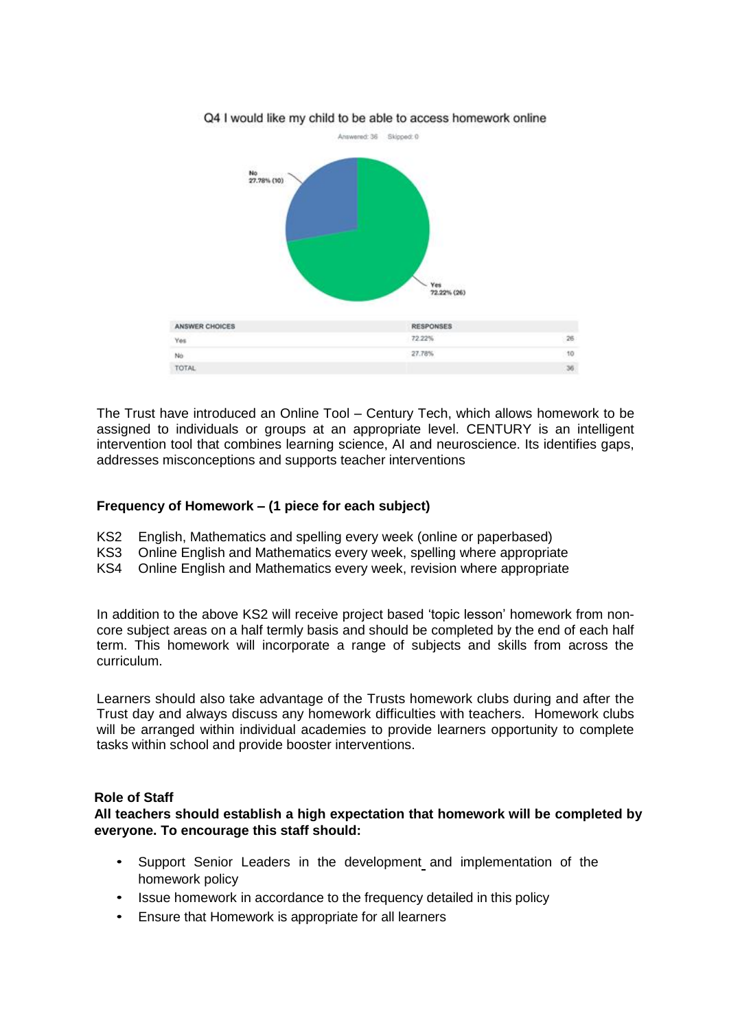

The Trust have introduced an Online Tool – Century Tech, which allows homework to be assigned to individuals or groups at an appropriate level. CENTURY is an intelligent intervention tool that combines learning science, AI and neuroscience. Its identifies gaps, addresses misconceptions and supports teacher interventions

## **Frequency of Homework – (1 piece for each subject)**

- KS2 English, Mathematics and spelling every week (online or paperbased)
- KS3 Online English and Mathematics every week, spelling where appropriate<br>KS4 Online English and Mathematics every week, revision where appropriate
- Online English and Mathematics every week, revision where appropriate

In addition to the above KS2 will receive project based 'topic lesson' homework from noncore subject areas on a half termly basis and should be completed by the end of each half term. This homework will incorporate a range of subjects and skills from across the curriculum.

Learners should also take advantage of the Trusts homework clubs during and after the Trust day and always discuss any homework difficulties with teachers. Homework clubs will be arranged within individual academies to provide learners opportunity to complete tasks within school and provide booster interventions.

## **Role of Staff**

**All teachers should establish a high expectation that homework will be completed by everyone. To encourage this staff should:**

- Support Senior Leaders in the development and implementation of the homework policy
- Issue homework in accordance to the frequency detailed in this policy
- Ensure that Homework is appropriate for all learners